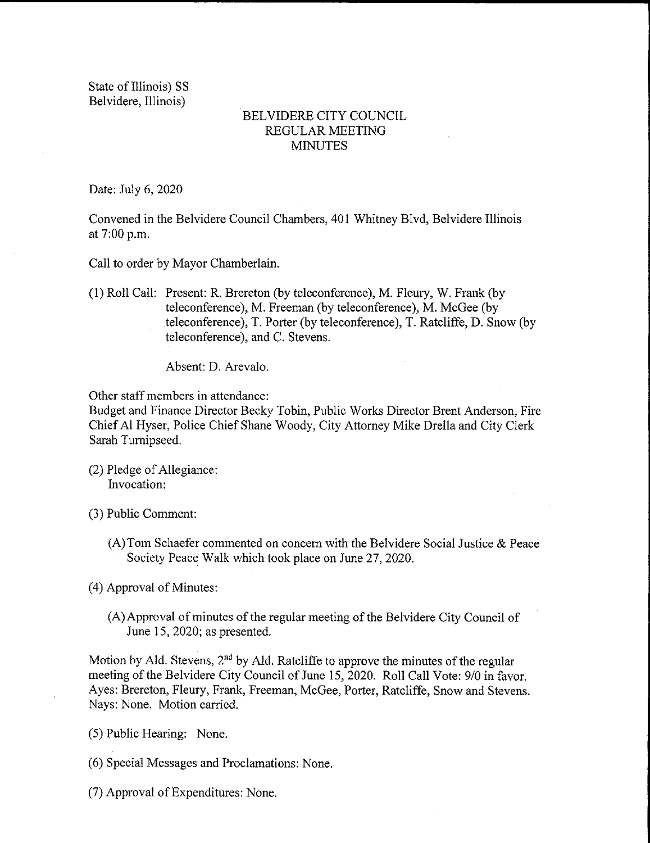State of Illinois) SS Belvidere, Illinois)

## BELVIDERE CITY COUNCIL REGULAR MEETING **MINUTES**

Date: July 6, 2020

Convened in the Belvidere Council Chambers, 401 Whitney Blvd, Belvidere Illinois at 7:00 p.m.

Call to order by Mayor Chamberlain.

1) Roll Call: Present: R. Brereton ( by teleconference), M. Fleury, W. Frank ( by teleconference), M. Freeman (by teleconference), M. McGee (by teleconference), T. Porter( by teleconference), T. Ratcliffe, D. Snow( by teleconference), and C. Stevens.

Absent: D. Arevalo.

Other staff members in attendance:

Budget and Finance Director Becky Tobin, Public Works Director Brent Anderson, Fire Chief Al Hyser, Police Chief Shane Woody, City Attorney Mike Drella and City Clerk Sarah Turnipseed.

- (2) Pledge of Allegiance: Invocation:
- 3) Public Comment:
	- A) Tom Schaefer commented on concern with the Belvidere Social Justice & Peace Society Peace Walk which took place on June 27, 2020.

4) Approval of Minutes:

A)Approval of minutes of the regular meeting of the Belvidere City Council of June 15, 2020; as presented.

Motion by Ald. Stevens,  $2<sup>nd</sup>$  by Ald. Ratcliffe to approve the minutes of the regular meeting of the Belvidere City Council of June 15, 2020. Roll Call Vote: 9/0 in favor. Ayes: Brereton, Fleury, Frank, Freeman, McGee, Porter, Ratcliffe, Snow and Stevens. Nays: None. Motion carried.

- 5) Public Hearing: None.
- 6) Special Messages and Proclamations: None.
- 7) Approval of Expenditures: None.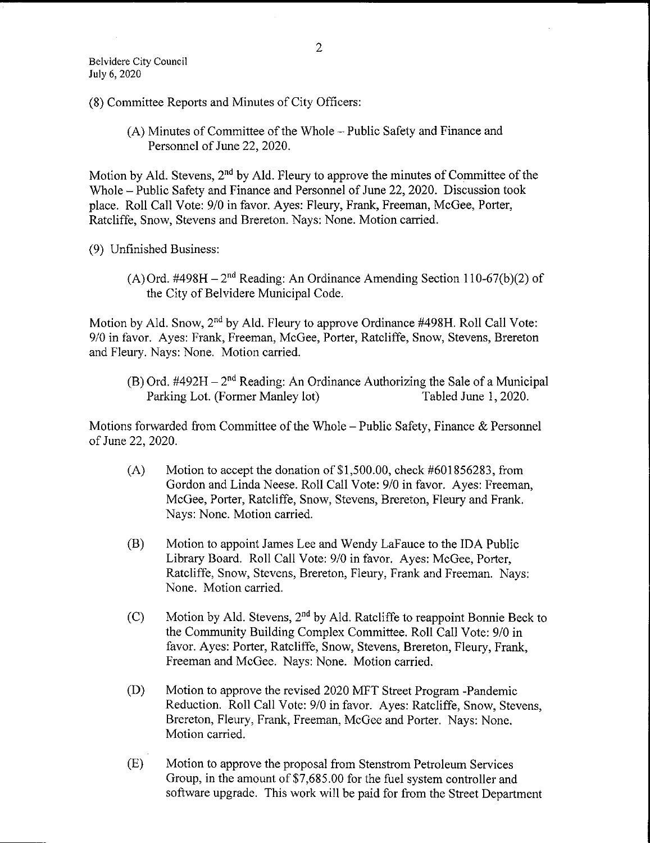8) Committee Reports and Minutes of City Officers:

A) Minutes of Committee of the Whole— Public Safety and Finance and Personnel of June 22, 2020.

Motion by Ald. Stevens,  $2<sup>nd</sup>$  by Ald. Fleury to approve the minutes of Committee of the Whole— Public Safety and Finance and Personnel of June 22, 2020. Discussion took place. Roll Call Vote: 9/0 in favor. Ayes: Fleury, Frank, Freeman, McGee, Porter, Ratcliffe, Snow, Stevens and Brereton. Nays: None. Motion carried.

9) Unfinished Business:

(A) Ord. #498H –  $2<sup>nd</sup>$  Reading: An Ordinance Amending Section 110-67(b)(2) of the City of Belvidere Municipal Code.

Motion by Ald. Snow,  $2<sup>nd</sup>$  by Ald. Fleury to approve Ordinance #498H. Roll Call Vote: 9/0 in favor. Ayes: Frank, Freeman, McGee, Porter, Ratcliffe, Snow, Stevens, Brereton and Fleury. Nays: None. Motion carried.

(B) Ord.  $\#492H - 2^{nd}$  Reading: An Ordinance Authorizing the Sale of a Municipal Parking Lot. (Former Manley lot) Tabled June 1, 2020. Parking Lot. (Former Manley lot)

Motions forwarded from Committee of the Whole— Public Safety, Finance & Personnel of June 22, 2020.

- $(A)$  Motion to accept the donation of \$1,500.00, check  $#601856283$ , from Gordon and Linda Neese. Roll Call Vote: 9/0 in favor. Ayes: Freeman, McGee, Porter, Ratcliffe, Snow, Stevens, Brereton, Fleury and Frank. Nays: None. Motion carried.
- B) Motion to appoint James Lee and Wendy LaFauce to the IDA Public Library Board. Roll Call Vote: 9/0 in favor. Ayes: McGee, Porter, Ratcliffe, Snow, Stevens, Brereton, Fleury, Frank and Freeman. Nays: None. Motion carried.
- (C) Motion by Ald. Stevens,  $2<sup>nd</sup>$  by Ald. Ratcliffe to reappoint Bonnie Beck to the Community Building Complex Committee. Roll Call Vote: 9/0 in favor. Ayes: Porter, Ratcliffe, Snow, Stevens, Brereton, Fleury, Frank, Freeman and McGee. Nays: None. Motion carried.
- D) Motion to approve the revised 2020 MFT Street Program Pandemic Reduction. Roll Call Vote: 9/0 in favor. Ayes: Ratcliffe, Snow, Stevens, Brereton, Fleury, Frank, Freeman, McGee and Porter. Nays: None. Motion carried.
- E) Motion to approve the proposal from Stenstrom Petroleum Services Group, in the amount of \$7,685.00 for the fuel system controller and software upgrade. This work will be paid for from the Street Department